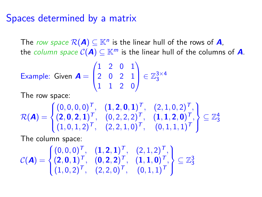## Spaces determined by a matrix

The *row space*  $\mathcal{R}(\mathbf{A}) \subseteq \mathbb{K}^n$  is the linear hull of the rows of  $\mathbf{A}$ , the *column space*  $C(A) \subseteq K^m$  is the linear hull of the columns of A.

Example: Given 
$$
A = \begin{pmatrix} 1 & 2 & 0 & 1 \\ 2 & 0 & 2 & 1 \\ 1 & 1 & 2 & 0 \end{pmatrix} \in \mathbb{Z}_3^{3 \times 4}
$$

I he row space:

$$
\mathcal{R}(\mathbf{A}) = \begin{cases} (0,0,0,0)^{\mathsf{T}}, & (\mathbf{1},\mathbf{2},\mathbf{0},\mathbf{1})^{\mathsf{T}}, & (\mathbf{2},1,0,2)^{\mathsf{T}}, \\ (2,\mathbf{0},\mathbf{2},\mathbf{1})^{\mathsf{T}}, & (0,2,2,2)^{\mathsf{T}}, & (\mathbf{1},\mathbf{1},\mathbf{2},\mathbf{0})^{\mathsf{T}}, \\ (1,0,1,2)^{\mathsf{T}}, & (2,2,1,0)^{\mathsf{T}}, & (0,1,1,1)^{\mathsf{T}} \end{cases} \subseteq \mathbb{Z}_3^4
$$

The column space:

$$
\mathcal{C}(\mathbf{A}) = \begin{cases} (0,0,0)^{\mathsf{T}}, & (\mathbf{1},\mathbf{2},\mathbf{1})^{\mathsf{T}}, & (2,1,2)^{\mathsf{T}}, \\ (2,0,\mathbf{1})^{\mathsf{T}}, & (0,2,\mathbf{2})^{\mathsf{T}}, & (\mathbf{1},\mathbf{1},\mathbf{0})^{\mathsf{T}}, \\ (1,0,2)^{\mathsf{T}}, & (2,2,0)^{\mathsf{T}}, & (0,1,1)^{\mathsf{T}} \end{cases} \subseteq \mathbb{Z}_3^3
$$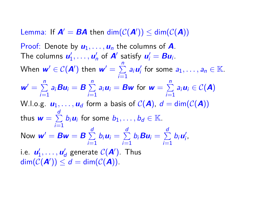Lemma: If  $A' = BA$  then  $\dim(\mathcal{C}(A')) \leq \dim(\mathcal{C}(A))$ 

Proof: Denote by  $u_1, \ldots, u_n$  the columns of **A**. The columns  $u'_1, \ldots, u'_n$  of  $A'$  satisfy  $u'_i = Bu_i$ . When  $\textbf{\textit{w}}' \in \mathcal{C}(\textbf{\textit{A}}')$  then  $\textbf{\textit{w}}' = \sum\limits_{n=1}^n \frac{1}{n}$  $\sum_{i=1}^{\infty} a_i \mathbf{u}'_i$  for some  $a_1, \ldots, a_n \in \mathbb{K}$ .  $w' = \sum_{n=1}^{n}$  $\sum_{i=1}^n a_i B u_i = B \sum_{i=1}^n$  $\sum_{i=1}^{n} a_i u_i = Bw$  for  $w = \sum_{i=1}^{n} a_i$  $\sum_{i=1} a_i u_i \in C(\mathbf{A})$ W.l.o.g.  $u_1, \ldots, u_d$  form a basis of  $C(A)$ ,  $d = \dim(C(A))$ thus  $\mathbf{w} = \sum^d$  $\sum_{i=1}^{n} b_i \textbf{\textit{u}}_i$  for some  $b_1, \ldots, b_d \in \mathbb{K}$ . Now  $w' = Bw = B \sum_{n=0}^{d}$  $\sum_{i=1}^d b_i \mathbf{u}_i = \sum_{i=1}^d$  $\sum_{i=1}^d b_i$ **Bu**<sub>i</sub> =  $\sum_{i=1}^d$  $\sum_{i=1}^{\infty} b_i \mathbf{u}'_i$ i.e.  $\mathbf{u}'_1, \ldots, \mathbf{u}'_d$  generate  $\mathcal{C}(\mathbf{A}')$ . Thus  $\dim(\mathcal{C}(\mathbf{A}')) \leq d = \dim(\mathcal{C}(\mathbf{A})).$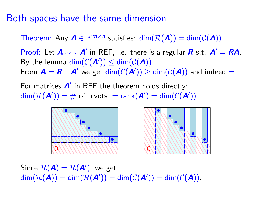## Both spaces have the same dimension

Theorem: Any  $A \in \mathbb{K}^{m \times n}$  satisfies:  $\dim(\mathcal{R}(A)) = \dim(\mathcal{C}(A)).$ 

Proof: Let  $A \sim \sim A'$  in REF, i.e. there is a regular **R** s.t.  $A' = RA$ . By the lemma  $\dim(\mathcal{C}(\mathbf{A}')) \leq \dim(\mathcal{C}(\mathbf{A}))$ . From  $\bm A=\bm R^{-1}\bm A'$  we get  $\dim(\mathcal C(\bm A'))\geq \dim(\mathcal C(\bm A))$  and indeed  $=$ .

For matrices  $A'$  in REF the theorem holds directly:  $\dim(\mathcal{R}(\mathbf{A}')) = \#$  of pivots  $= \text{rank}(\mathbf{A}') = \dim(\mathcal{C}(\mathbf{A}'))$ 





Since  $\mathcal{R}(\mathbf{A}) = \mathcal{R}(\mathbf{A}'),$  we get  $\text{dim}(\mathcal{R}(\mathbf{A})) = \text{dim}(\mathcal{R}(\mathbf{A}')) = \text{dim}(\mathcal{C}(\mathbf{A}')) = \text{dim}(\mathcal{C}(\mathbf{A})).$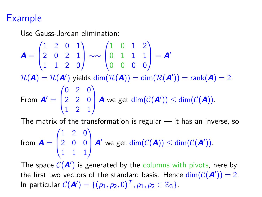## Example

Use Gauss-Jordan elimination:

 $A =$  $\sqrt{ }$  $\overline{\phantom{a}}$ 1 2 0 1 2 0 2 1 1 1 2 0 <sup>1</sup> ∼∼  $\sqrt{ }$  $\overline{\phantom{a}}$ 1 0 1 2 0 1 1 1 0 0 0 0 Y  $\Bigg| = A'$  $\mathcal{R}(\bm{A})=\mathcal{R}(\bm{A}')$  yields  $\mathsf{dim}(\mathcal{R}(\bm{A}))=\mathsf{dim}(\mathcal{R}(\bm{A}'))=\mathsf{rank}(\bm{A})=2.$ From  $A' =$  $\sqrt{ }$  $\overline{\phantom{a}}$ 0 2 0 2 2 0 1 2 1 <sup>1</sup> **A** we get  $dim(\mathcal{C}(\mathbf{A}')) \leq dim(\mathcal{C}(\mathbf{A}))$ .

The matrix of the transformation is regular  $-$  it has an inverse, so

from  $\mathbf{A} =$  $\sqrt{ }$  $\overline{ }$ 1 2 0 2 0 0 1 1 1  $\setminus$ **A**<sup> $\prime$ </sup> we get dim( $C(A)$ )  $\leq$  dim( $C(A')$ ).

The space  $C(\boldsymbol{A}')$  is generated by the columns with pivots, here by the first two vectors of the standard basis. Hence  $\dim(\mathcal{C}(\mathbf{A}'))=2$ .  $\ln$  particular  $C(\mathcal{A}') = \{ (p_1, p_2, 0)^{\mathsf{T}}, p_1, p_2 \in \mathbb{Z}_3 \}.$